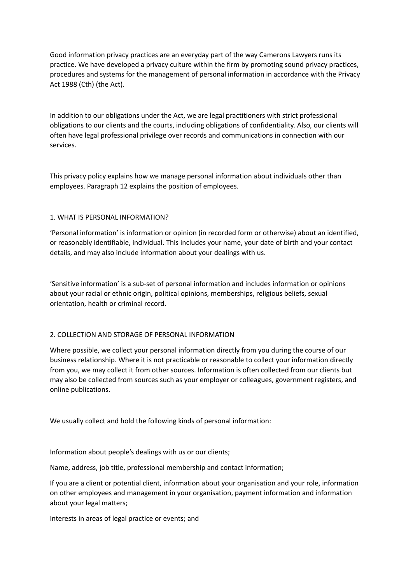Good information privacy practices are an everyday part of the way Camerons Lawyers runs its practice. We have developed a privacy culture within the firm by promoting sound privacy practices, procedures and systems for the management of personal information in accordance with the Privacy Act 1988 (Cth) (the Act).

In addition to our obligations under the Act, we are legal practitioners with strict professional obligations to our clients and the courts, including obligations of confidentiality. Also, our clients will often have legal professional privilege over records and communications in connection with our services.

This privacy policy explains how we manage personal information about individuals other than employees. Paragraph 12 explains the position of employees.

# 1. WHAT IS PERSONAL INFORMATION?

'Personal information' is information or opinion (in recorded form or otherwise) about an identified, or reasonably identifiable, individual. This includes your name, your date of birth and your contact details, and may also include information about your dealings with us.

'Sensitive information' is a sub-set of personal information and includes information or opinions about your racial or ethnic origin, political opinions, memberships, religious beliefs, sexual orientation, health or criminal record.

# 2. COLLECTION AND STORAGE OF PERSONAL INFORMATION

Where possible, we collect your personal information directly from you during the course of our business relationship. Where it is not practicable or reasonable to collect your information directly from you, we may collect it from other sources. Information is often collected from our clients but may also be collected from sources such as your employer or colleagues, government registers, and online publications.

We usually collect and hold the following kinds of personal information:

Information about people's dealings with us or our clients;

Name, address, job title, professional membership and contact information;

If you are a client or potential client, information about your organisation and your role, information on other employees and management in your organisation, payment information and information about your legal matters;

Interests in areas of legal practice or events; and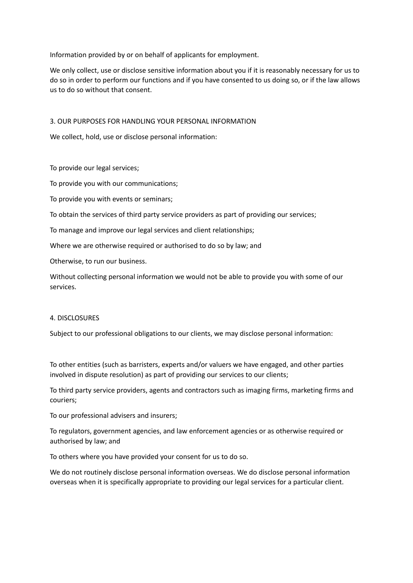Information provided by or on behalf of applicants for employment.

We only collect, use or disclose sensitive information about you if it is reasonably necessary for us to do so in order to perform our functions and if you have consented to us doing so, or if the law allows us to do so without that consent.

### 3. OUR PURPOSES FOR HANDLING YOUR PERSONAL INFORMATION

We collect, hold, use or disclose personal information:

To provide our legal services;

To provide you with our communications;

To provide you with events or seminars;

To obtain the services of third party service providers as part of providing our services;

To manage and improve our legal services and client relationships;

Where we are otherwise required or authorised to do so by law; and

Otherwise, to run our business.

Without collecting personal information we would not be able to provide you with some of our services.

#### 4. DISCLOSURES

Subject to our professional obligations to our clients, we may disclose personal information:

To other entities (such as barristers, experts and/or valuers we have engaged, and other parties involved in dispute resolution) as part of providing our services to our clients;

To third party service providers, agents and contractors such as imaging firms, marketing firms and couriers;

To our professional advisers and insurers;

To regulators, government agencies, and law enforcement agencies or as otherwise required or authorised by law; and

To others where you have provided your consent for us to do so.

We do not routinely disclose personal information overseas. We do disclose personal information overseas when it is specifically appropriate to providing our legal services for a particular client.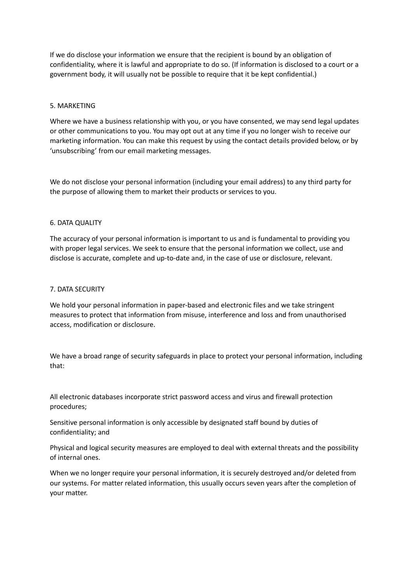If we do disclose your information we ensure that the recipient is bound by an obligation of confidentiality, where it is lawful and appropriate to do so. (If information is disclosed to a court or a government body, it will usually not be possible to require that it be kept confidential.)

### 5. MARKETING

Where we have a business relationship with you, or you have consented, we may send legal updates or other communications to you. You may opt out at any time if you no longer wish to receive our marketing information. You can make this request by using the contact details provided below, or by 'unsubscribing' from our email marketing messages.

We do not disclose your personal information (including your email address) to any third party for the purpose of allowing them to market their products or services to you.

# 6. DATA QUALITY

The accuracy of your personal information is important to us and is fundamental to providing you with proper legal services. We seek to ensure that the personal information we collect, use and disclose is accurate, complete and up-to-date and, in the case of use or disclosure, relevant.

### 7. DATA SECURITY

We hold your personal information in paper-based and electronic files and we take stringent measures to protect that information from misuse, interference and loss and from unauthorised access, modification or disclosure.

We have a broad range of security safeguards in place to protect your personal information, including that:

All electronic databases incorporate strict password access and virus and firewall protection procedures;

Sensitive personal information is only accessible by designated staff bound by duties of confidentiality; and

Physical and logical security measures are employed to deal with external threats and the possibility of internal ones.

When we no longer require your personal information, it is securely destroyed and/or deleted from our systems. For matter related information, this usually occurs seven years after the completion of your matter.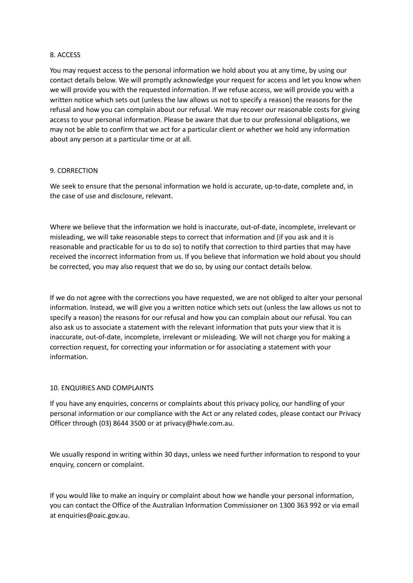#### 8. ACCESS

You may request access to the personal information we hold about you at any time, by using our contact details below. We will promptly acknowledge your request for access and let you know when we will provide you with the requested information. If we refuse access, we will provide you with a written notice which sets out (unless the law allows us not to specify a reason) the reasons for the refusal and how you can complain about our refusal. We may recover our reasonable costs for giving access to your personal information. Please be aware that due to our professional obligations, we may not be able to confirm that we act for a particular client or whether we hold any information about any person at a particular time or at all.

#### 9. CORRECTION

We seek to ensure that the personal information we hold is accurate, up-to-date, complete and, in the case of use and disclosure, relevant.

Where we believe that the information we hold is inaccurate, out-of-date, incomplete, irrelevant or misleading, we will take reasonable steps to correct that information and (if you ask and it is reasonable and practicable for us to do so) to notify that correction to third parties that may have received the incorrect information from us. If you believe that information we hold about you should be corrected, you may also request that we do so, by using our contact details below.

If we do not agree with the corrections you have requested, we are not obliged to alter your personal information. Instead, we will give you a written notice which sets out (unless the law allows us not to specify a reason) the reasons for our refusal and how you can complain about our refusal. You can also ask us to associate a statement with the relevant information that puts your view that it is inaccurate, out-of-date, incomplete, irrelevant or misleading. We will not charge you for making a correction request, for correcting your information or for associating a statement with your information.

#### 10. ENQUIRIES AND COMPLAINTS

If you have any enquiries, concerns or complaints about this privacy policy, our handling of your personal information or our compliance with the Act or any related codes, please contact our Privacy Officer through (03) 8644 3500 or at privacy@hwle.com.au.

We usually respond in writing within 30 days, unless we need further information to respond to your enquiry, concern or complaint.

If you would like to make an inquiry or complaint about how we handle your personal information, you can contact the Office of the Australian Information Commissioner on 1300 363 992 or via email at enquiries@oaic.gov.au.